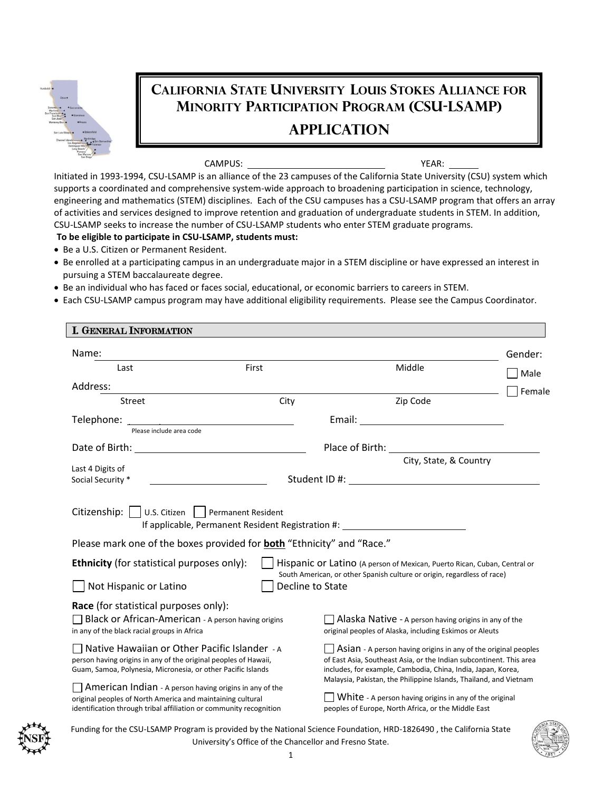

## **CALIFORNIA STATE UNIVERSITY LOUIS STOKES ALLIANCE FOR MINORITY PARTICIPATION PROGRAM (CSU-LSAMP) APPLICATION**

CAMPUS: YEAR:

Initiated in 1993-1994, CSU-LSAMP is an alliance of the 23 campuses of the California State University (CSU) system which supports a coordinated and comprehensive system-wide approach to broadening participation in science, technology, engineering and mathematics (STEM) disciplines. Each of the CSU campuses has a CSU-LSAMP program that offers an array of activities and services designed to improve retention and graduation of undergraduate students in STEM. In addition, CSU-LSAMP seeks to increase the number of CSU-LSAMP students who enter STEM graduate programs.

## **To be eligible to participate in CSU-LSAMP, students must:**

- Be a U.S. Citizen or Permanent Resident.
- Be enrolled at a participating campus in an undergraduate major in a STEM discipline or have expressed an interest in pursuing a STEM baccalaureate degree.
- Be an individual who has faced or faces social, educational, or economic barriers to careers in STEM.
- Each CSU-LSAMP campus program may have additional eligibility requirements. Please see the Campus Coordinator.

| <b>I. GENERAL INFORMATION</b>                                                                                                                                                                                        |                  |                                                                                                                                                                                                                                                                                    |         |
|----------------------------------------------------------------------------------------------------------------------------------------------------------------------------------------------------------------------|------------------|------------------------------------------------------------------------------------------------------------------------------------------------------------------------------------------------------------------------------------------------------------------------------------|---------|
| Name:                                                                                                                                                                                                                |                  |                                                                                                                                                                                                                                                                                    | Gender: |
| Last                                                                                                                                                                                                                 | First            | Middle                                                                                                                                                                                                                                                                             | Male    |
| Address:                                                                                                                                                                                                             |                  |                                                                                                                                                                                                                                                                                    | Female  |
| <b>Street</b>                                                                                                                                                                                                        | City             | Zip Code                                                                                                                                                                                                                                                                           |         |
| Telephone: Please include area code                                                                                                                                                                                  |                  |                                                                                                                                                                                                                                                                                    |         |
| Date of Birth: The Contract of Birth:                                                                                                                                                                                |                  | Place of Birth: The Contract of Birth:                                                                                                                                                                                                                                             |         |
| Last 4 Digits of                                                                                                                                                                                                     |                  | City, State, & Country                                                                                                                                                                                                                                                             |         |
| Social Security *                                                                                                                                                                                                    |                  | Student ID #: the student of the student of the student of the student of the student of the student of the studies                                                                                                                                                                |         |
| Citizenship:     U.S. Citizen     Permanent Resident<br>Please mark one of the boxes provided for <b>both</b> "Ethnicity" and "Race."<br><b>Ethnicity</b> (for statistical purposes only):<br>Not Hispanic or Latino | Decline to State | Hispanic or Latino (A person of Mexican, Puerto Rican, Cuban, Central or<br>South American, or other Spanish culture or origin, regardless of race)                                                                                                                                |         |
| Race (for statistical purposes only):<br>Black or African-American - A person having origins<br>in any of the black racial groups in Africa                                                                          |                  | $\Box$ Alaska Native - A person having origins in any of the<br>original peoples of Alaska, including Eskimos or Aleuts                                                                                                                                                            |         |
| □ Native Hawaiian or Other Pacific Islander - A<br>person having origins in any of the original peoples of Hawaii,<br>Guam, Samoa, Polynesia, Micronesia, or other Pacific Islands                                   |                  | $\vert$ Asian - A person having origins in any of the original peoples<br>of East Asia, Southeast Asia, or the Indian subcontinent. This area<br>includes, for example, Cambodia, China, India, Japan, Korea,<br>Malaysia, Pakistan, the Philippine Islands, Thailand, and Vietnam |         |
| American Indian - A person having origins in any of the<br>original peoples of North America and maintaining cultural<br>identification through tribal affiliation or community recognition                          |                  | $\Box$ White - A person having origins in any of the original<br>peoples of Europe, North Africa, or the Middle East                                                                                                                                                               |         |



Funding for the CSU-LSAMP Program is provided by the National Science Foundation, HRD-1826490 , the California State University's Office of the Chancellor and Fresno State.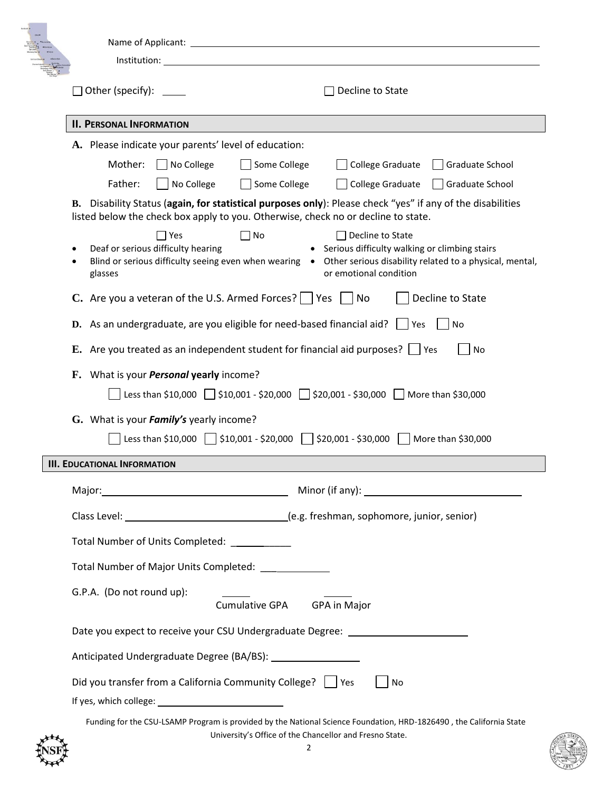|   | Name of Applicant:<br>Institution:                                                                                                                                                                                                                                                                    |  |  |  |  |
|---|-------------------------------------------------------------------------------------------------------------------------------------------------------------------------------------------------------------------------------------------------------------------------------------------------------|--|--|--|--|
|   | Other (specify):<br>Decline to State                                                                                                                                                                                                                                                                  |  |  |  |  |
|   | <b>II. PERSONAL INFORMATION</b>                                                                                                                                                                                                                                                                       |  |  |  |  |
|   | A. Please indicate your parents' level of education:                                                                                                                                                                                                                                                  |  |  |  |  |
|   | Mother:<br>No College<br>Some College<br>College Graduate<br>Graduate School<br>Father:<br>No College<br>Some College<br>College Graduate<br>Graduate School                                                                                                                                          |  |  |  |  |
|   | B. Disability Status (again, for statistical purposes only): Please check "yes" if any of the disabilities<br>listed below the check box apply to you. Otherwise, check no or decline to state.                                                                                                       |  |  |  |  |
|   | $\Box$ Yes<br>] No<br>Decline to State<br>Deaf or serious difficulty hearing<br>• Serious difficulty walking or climbing stairs<br>Blind or serious difficulty seeing even when wearing • Other serious disability related to a physical, mental,<br>or emotional condition<br>glasses                |  |  |  |  |
|   | <b>C.</b> Are you a veteran of the U.S. Armed Forces? $\Box$ Yes $\Box$ No<br>Decline to State                                                                                                                                                                                                        |  |  |  |  |
|   | <b>D.</b> As an undergraduate, are you eligible for need-based financial aid? $\Box$ Yes<br>No                                                                                                                                                                                                        |  |  |  |  |
|   | E. Are you treated as an independent student for financial aid purposes? $\Box$ Yes<br>No                                                                                                                                                                                                             |  |  |  |  |
|   | F. What is your <i>Personal</i> yearly income?<br>Less than \$10,000 $\Box$ \$10,001 - \$20,000 $\Box$ \$20,001 - \$30,000 $\Box$ More than \$30,000                                                                                                                                                  |  |  |  |  |
|   | G. What is your <i>Family's</i> yearly income?<br>Less than $$10,000$  <br>$$10,001 - $20,000$<br>\$20,001 - \$30,000<br>More than \$30,000                                                                                                                                                           |  |  |  |  |
|   | <b>III. EDUCATIONAL INFORMATION</b>                                                                                                                                                                                                                                                                   |  |  |  |  |
|   |                                                                                                                                                                                                                                                                                                       |  |  |  |  |
|   |                                                                                                                                                                                                                                                                                                       |  |  |  |  |
|   | Total Number of Units Completed: ___________                                                                                                                                                                                                                                                          |  |  |  |  |
|   | Total Number of Major Units Completed: ____________                                                                                                                                                                                                                                                   |  |  |  |  |
|   | G.P.A. (Do not round up):                                                                                                                                                                                                                                                                             |  |  |  |  |
|   | Date you expect to receive your CSU Undergraduate Degree: ______________________                                                                                                                                                                                                                      |  |  |  |  |
|   |                                                                                                                                                                                                                                                                                                       |  |  |  |  |
|   | Did you transfer from a California Community College?     Yes<br>No<br>If yes, which college: 1999 and 1999 and 1999 and 1999 and 1999 and 1999 and 1999 and 1999 and 1999 and 1999 and 1999 and 1999 and 1999 and 1999 and 1999 and 1999 and 1999 and 1999 and 1999 and 1999 and 1999 and 1999 and 1 |  |  |  |  |
| ₩ | Funding for the CSU-LSAMP Program is provided by the National Science Foundation, HRD-1826490, the California State<br>University's Office of the Chancellor and Fresno State.                                                                                                                        |  |  |  |  |

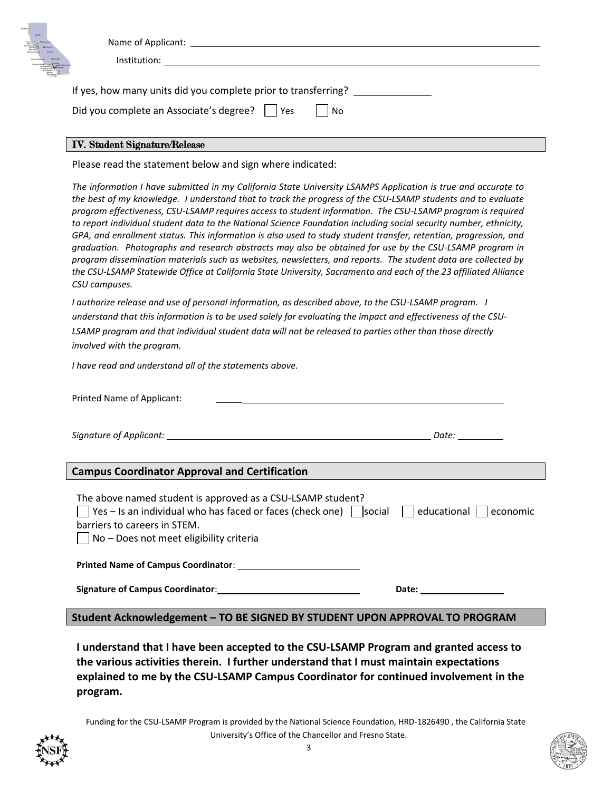| $\equiv$<br>. +Interctate<br>$\overline{\mathcal{L}}$ | Name of Applicant:<br>Institution:                                                                                      |  |
|-------------------------------------------------------|-------------------------------------------------------------------------------------------------------------------------|--|
|                                                       | If yes, how many units did you complete prior to transferring?<br>Did you complete an Associate's degree?     Yes<br>No |  |

## IV. Student Signature/Release

Please read the statement below and sign where indicated:

*The information I have submitted in my California State University LSAMPS Application is true and accurate to the best of my knowledge. I understand that to track the progress of the CSU-LSAMP students and to evaluate program effectiveness, CSU-LSAMP requires access to student information. The CSU-LSAMP program is required to report individual student data to the National Science Foundation including social security number, ethnicity, GPA, and enrollment status. This information is also used to study student transfer, retention, progression, and graduation. Photographs and research abstracts may also be obtained for use by the CSU-LSAMP program in program dissemination materials such as websites, newsletters, and reports. The student data are collected by the CSU-LSAMP Statewide Office at California State University, Sacramento and each of the 23 affiliated Alliance CSU campuses.*

*I authorize release and use of personal information, as described above, to the CSU-LSAMP program. I understand that this information is to be used solely for evaluating the impact and effectiveness of the CSU-LSAMP program and that individual student data will not be released to parties other than those directly involved with the program.* 

*I have read and understand all of the statements above.*

| Printed Name of Applicant:                                                                                                                                                                                                                                              |  |  |  |  |
|-------------------------------------------------------------------------------------------------------------------------------------------------------------------------------------------------------------------------------------------------------------------------|--|--|--|--|
|                                                                                                                                                                                                                                                                         |  |  |  |  |
| <b>Campus Coordinator Approval and Certification</b>                                                                                                                                                                                                                    |  |  |  |  |
| The above named student is approved as a CSU-LSAMP student?<br>$\vert$ Yes – Is an individual who has faced or faces (check one) $\vert$ social $\vert$ educational $\vert$ economic<br>barriers to careers in STEM.<br>$\vert$ No – Does not meet eligibility criteria |  |  |  |  |
| Printed Name of Campus Coordinator:                                                                                                                                                                                                                                     |  |  |  |  |
| Signature of Campus Coordinator: Signature of Campus Coordinator Section 1                                                                                                                                                                                              |  |  |  |  |
| Student Acknowledgement - TO BE SIGNED BY STUDENT UPON APPROVAL TO PROGRAM                                                                                                                                                                                              |  |  |  |  |

**I understand that I have been accepted to the CSU-LSAMP Program and granted access to the various activities therein. I further understand that I must maintain expectations explained to me by the CSU-LSAMP Campus Coordinator for continued involvement in the program.**

Funding for the CSU-LSAMP Program is provided by the National Science Foundation, HRD-1826490 , the California State University's Office of the Chancellor and Fresno State.